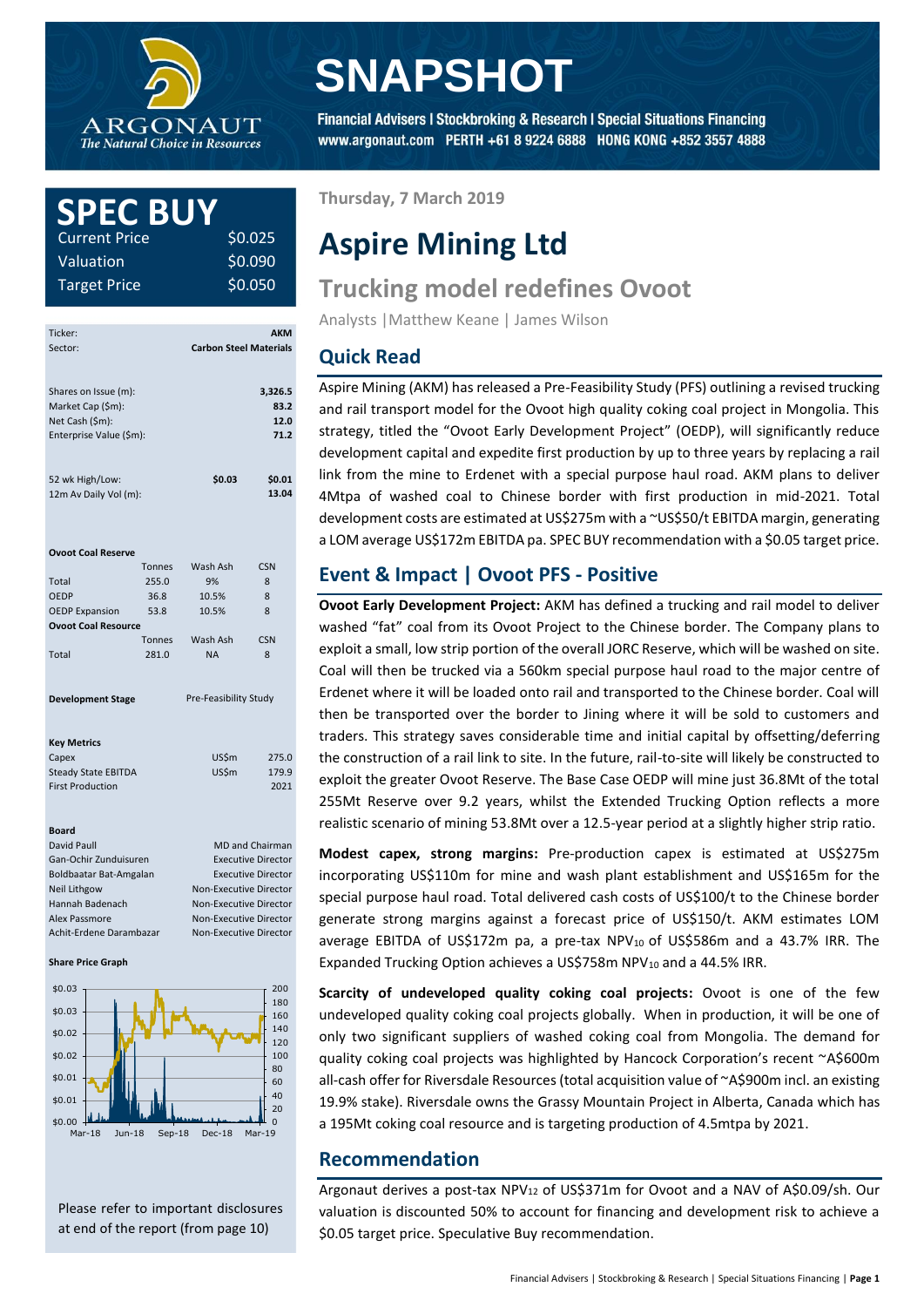

# **SNAPSHOT**

Financial Advisers | Stockbroking & Research | Special Situations Financing www.argonaut.com PERTH +61 8 9224 6888 HONG KONG +852 3557 4888

## **SPEC BUY** Current Price \$0.025 \$0.090

\$0.050

Valuation Target Price

| Ticker:<br>Sector:                                           |                           | <b>Carbon Steel Materials</b> | <b>AKM</b>              |  |
|--------------------------------------------------------------|---------------------------|-------------------------------|-------------------------|--|
| Shares on Issue (m):<br>Market Cap (\$m):<br>Net Cash (\$m): |                           |                               | 3,326.5<br>83.2<br>12.0 |  |
| Enterprise Value (\$m):                                      |                           |                               | 71.2                    |  |
| 52 wk High/Low:<br>12m Av Daily Vol (m):                     |                           | \$0.03                        | \$0.01<br>13.04         |  |
| <b>Ovoot Coal Reserve</b>                                    |                           |                               |                         |  |
|                                                              | <b>Tonnes</b>             | Wash Ash                      | <b>CSN</b>              |  |
| Total                                                        | 255.0                     | 9%                            | 8                       |  |
| <b>OEDP</b>                                                  | 36.8                      | 10.5%                         | 8                       |  |
| <b>OEDP Expansion</b>                                        | 53.8                      | 10.5%                         | 8                       |  |
| <b>Ovoot Coal Resource</b>                                   |                           |                               |                         |  |
|                                                              | <b>Tonnes</b>             | Wash Ash                      | <b>CSN</b>              |  |
| Total                                                        | 281.0                     | <b>NA</b>                     | 8                       |  |
| <b>Development Stage</b>                                     |                           | Pre-Feasibility Study         |                         |  |
| <b>Key Metrics</b>                                           |                           |                               |                         |  |
| Capex                                                        |                           | US\$m<br>US\$m                | 275.0                   |  |
| <b>Steady State EBITDA</b><br><b>First Production</b>        |                           |                               | 179.9<br>2021           |  |
|                                                              |                           |                               |                         |  |
| <b>Board</b>                                                 |                           |                               |                         |  |
| David Paull                                                  |                           | <b>MD and Chairman</b>        |                         |  |
| Gan-Ochir Zunduisuren                                        |                           | <b>Executive Director</b>     |                         |  |
| Boldbaatar Bat-Amgalan                                       | <b>Executive Director</b> |                               |                         |  |
| Neil Lithgow                                                 |                           | Non-Executive Director        |                         |  |
| Hannah Badenach                                              |                           | Non-Executive Director        |                         |  |

#### **Share Price Graph**



Alex Passmore Non-Executive Director Achit-Erdene Darambazar Non-Executive Director

Please refer to important disclosures at end of the report (from page 10)

## **Thursday, 7 March 2019**

# **Aspire Mining Ltd**

# **Trucking model redefines Ovoot**

Analysts |Matthew Keane | James Wilson

# **Quick Read**

Aspire Mining (AKM) has released a Pre-Feasibility Study (PFS) outlining a revised trucking and rail transport model for the Ovoot high quality coking coal project in Mongolia. This strategy, titled the "Ovoot Early Development Project" (OEDP), will significantly reduce development capital and expedite first production by up to three years by replacing a rail link from the mine to Erdenet with a special purpose haul road. AKM plans to deliver 4Mtpa of washed coal to Chinese border with first production in mid-2021. Total development costs are estimated at US\$275m with a ~US\$50/t EBITDA margin, generating a LOM average US\$172m EBITDA pa. SPEC BUY recommendation with a \$0.05 target price.

# **Event & Impact | Ovoot PFS - Positive**

**Ovoot Early Development Project:** AKM has defined a trucking and rail model to deliver washed "fat" coal from its Ovoot Project to the Chinese border. The Company plans to exploit a small, low strip portion of the overall JORC Reserve, which will be washed on site. Coal will then be trucked via a 560km special purpose haul road to the major centre of Erdenet where it will be loaded onto rail and transported to the Chinese border. Coal will then be transported over the border to Jining where it will be sold to customers and traders. This strategy saves considerable time and initial capital by offsetting/deferring the construction of a rail link to site. In the future, rail-to-site will likely be constructed to exploit the greater Ovoot Reserve. The Base Case OEDP will mine just 36.8Mt of the total 255Mt Reserve over 9.2 years, whilst the Extended Trucking Option reflects a more realistic scenario of mining 53.8Mt over a 12.5-year period at a slightly higher strip ratio.

**Modest capex, strong margins:** Pre-production capex is estimated at US\$275m incorporating US\$110m for mine and wash plant establishment and US\$165m for the special purpose haul road. Total delivered cash costs of US\$100/t to the Chinese border generate strong margins against a forecast price of US\$150/t. AKM estimates LOM average EBITDA of US\$172m pa, a pre-tax NPV<sub>10</sub> of US\$586m and a 43.7% IRR. The Expanded Trucking Option achieves a US\$758m NPV $_{10}$  and a 44.5% IRR.

**Scarcity of undeveloped quality coking coal projects:** Ovoot is one of the few undeveloped quality coking coal projects globally. When in production, it will be one of only two significant suppliers of washed coking coal from Mongolia. The demand for quality coking coal projects was highlighted by Hancock Corporation's recent ~A\$600m all-cash offer for Riversdale Resources (total acquisition value of ~A\$900m incl. an existing 19.9% stake). Riversdale owns the Grassy Mountain Project in Alberta, Canada which has a 195Mt coking coal resource and is targeting production of 4.5mtpa by 2021.

## **Recommendation**

Argonaut derives a post-tax NPV<sup>12</sup> of US\$371m for Ovoot and a NAV of A\$0.09/sh. Our valuation is discounted 50% to account for financing and development risk to achieve a \$0.05 target price. Speculative Buy recommendation.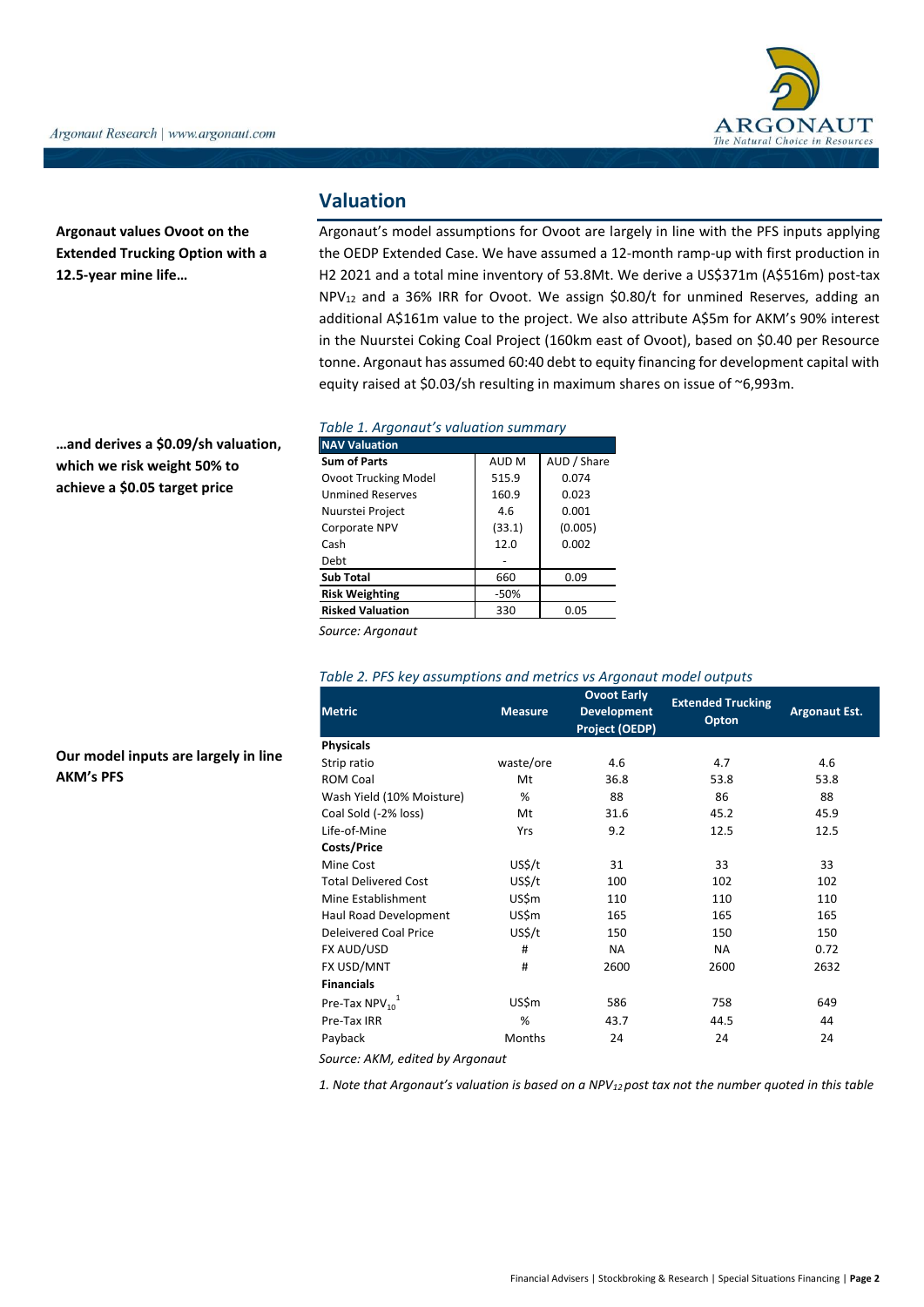**Argonaut values Ovoot on the Extended Trucking Option with a 12.5-year mine life…**

**…and derives a \$0.09/sh valuation, which we risk weight 50% to achieve a \$0.05 target price**

**Our model inputs are largely in line** 

**AKM's PFS**

# **Valuation**

Argonaut's model assumptions for Ovoot are largely in line with the PFS inputs applying the OEDP Extended Case. We have assumed a 12-month ramp-up with first production in H2 2021 and a total mine inventory of 53.8Mt. We derive a US\$371m (A\$516m) post-tax NPV<sup>12</sup> and a 36% IRR for Ovoot. We assign \$0.80/t for unmined Reserves, adding an additional A\$161m value to the project. We also attribute A\$5m for AKM's 90% interest in the Nuurstei Coking Coal Project (160km east of Ovoot), based on \$0.40 per Resource tonne. Argonaut has assumed 60:40 debt to equity financing for development capital with equity raised at \$0.03/sh resulting in maximum shares on issue of ~6,993m.

#### *Table 1. Argonaut's valuation summary*

| <b>NAV Valuation</b>    |        |             |
|-------------------------|--------|-------------|
| <b>Sum of Parts</b>     | AUD M  | AUD / Share |
| Ovoot Trucking Model    | 515.9  | 0.074       |
| <b>Unmined Reserves</b> | 160.9  | 0.023       |
| Nuurstei Project        | 4.6    | 0.001       |
| Corporate NPV           | (33.1) | (0.005)     |
| Cash                    | 12.0   | 0.002       |
| Debt                    |        |             |
| <b>Sub Total</b>        | 660    | 0.09        |
| <b>Risk Weighting</b>   | $-50%$ |             |
| <b>Risked Valuation</b> | 330    | 0.05        |

*Source: Argonaut*

## *Table 2. PFS key assumptions and metrics vs Argonaut model outputs*

| <b>Metric</b>                  | <b>Measure</b> | <b>Ovoot Early</b><br><b>Development</b><br>Project (OEDP) | <b>Extended Trucking</b><br>Opton | <b>Argonaut Est.</b> |
|--------------------------------|----------------|------------------------------------------------------------|-----------------------------------|----------------------|
| <b>Physicals</b>               |                |                                                            |                                   |                      |
| Strip ratio                    | waste/ore      | 4.6                                                        | 4.7                               | 4.6                  |
| <b>ROM Coal</b>                | Mt             | 36.8                                                       | 53.8                              | 53.8                 |
| Wash Yield (10% Moisture)      | %              | 88                                                         | 86                                | 88                   |
| Coal Sold (-2% loss)           | Mt             | 31.6                                                       | 45.2                              | 45.9                 |
| Life-of-Mine                   | Yrs            | 9.2                                                        | 12.5                              | 12.5                 |
| <b>Costs/Price</b>             |                |                                                            |                                   |                      |
| Mine Cost                      | US\$/t         | 31                                                         | 33                                | 33                   |
| <b>Total Delivered Cost</b>    | US\$/t         | 100                                                        | 102                               | 102                  |
| Mine Establishment             | US\$m          | 110                                                        | 110                               | 110                  |
| Haul Road Development          | US\$m          | 165                                                        | 165                               | 165                  |
| Deleivered Coal Price          | US\$/t         | 150                                                        | 150                               | 150                  |
| FX AUD/USD                     | #              | <b>NA</b>                                                  | <b>NA</b>                         | 0.72                 |
| FX USD/MNT                     | #              | 2600                                                       | 2600                              | 2632                 |
| <b>Financials</b>              |                |                                                            |                                   |                      |
| Pre-Tax $NPV_{10}^1$           | US\$m          | 586                                                        | 758                               | 649                  |
| Pre-Tax IRR                    | %              | 43.7                                                       | 44.5                              | 44                   |
| Payback                        | Months         | 24                                                         | 24                                | 24                   |
| Cource: AVM adited by Argonaut |                |                                                            |                                   |                      |

*Source: AKM, edited by Argonaut*

*1. Note that Argonaut's valuation is based on a NPV12 post tax not the number quoted in this table*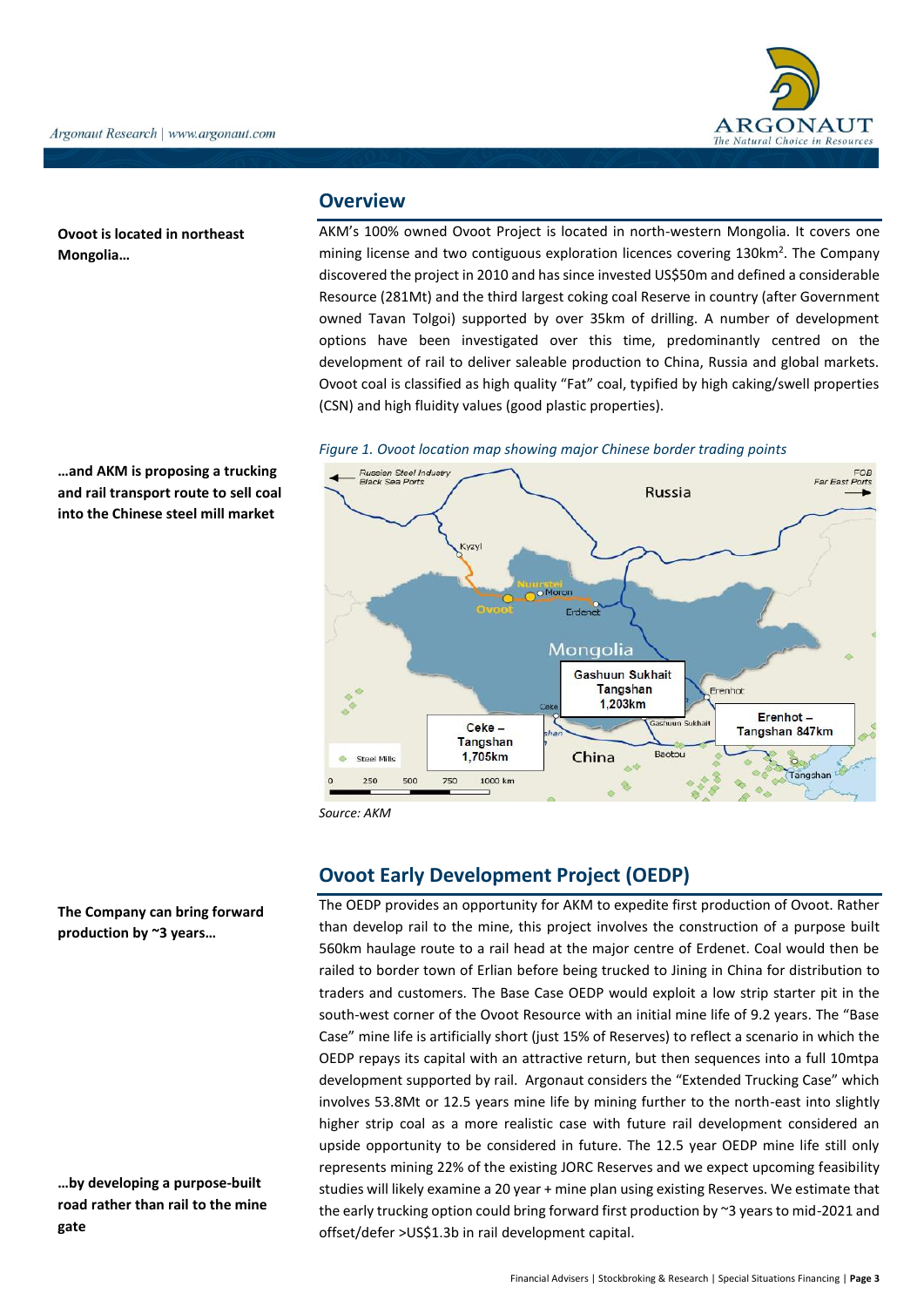

**Ovoot is located in northeast Mongolia…**

**…and AKM is proposing a trucking and rail transport route to sell coal into the Chinese steel mill market**

## **Overview**

AKM's 100% owned Ovoot Project is located in north-western Mongolia. It covers one mining license and two contiguous exploration licences covering 130km<sup>2</sup>. The Company discovered the project in 2010 and has since invested US\$50m and defined a considerable Resource (281Mt) and the third largest coking coal Reserve in country (after Government owned Tavan Tolgoi) supported by over 35km of drilling. A number of development options have been investigated over this time, predominantly centred on the development of rail to deliver saleable production to China, Russia and global markets. Ovoot coal is classified as high quality "Fat" coal, typified by high caking/swell properties (CSN) and high fluidity values (good plastic properties).





*Source: AKM*

# **Ovoot Early Development Project (OEDP)**

The OEDP provides an opportunity for AKM to expedite first production of Ovoot. Rather than develop rail to the mine, this project involves the construction of a purpose built 560km haulage route to a rail head at the major centre of Erdenet. Coal would then be railed to border town of Erlian before being trucked to Jining in China for distribution to traders and customers. The Base Case OEDP would exploit a low strip starter pit in the south-west corner of the Ovoot Resource with an initial mine life of 9.2 years. The "Base Case" mine life is artificially short (just 15% of Reserves) to reflect a scenario in which the OEDP repays its capital with an attractive return, but then sequences into a full 10mtpa development supported by rail. Argonaut considers the "Extended Trucking Case" which involves 53.8Mt or 12.5 years mine life by mining further to the north-east into slightly higher strip coal as a more realistic case with future rail development considered an upside opportunity to be considered in future. The 12.5 year OEDP mine life still only represents mining 22% of the existing JORC Reserves and we expect upcoming feasibility studies will likely examine a 20 year + mine plan using existing Reserves. We estimate that the early trucking option could bring forward first production by ~3 years to mid-2021 and offset/defer >US\$1.3b in rail development capital.

**The Company can bring forward production by ~3 years…**

**…by developing a purpose-built road rather than rail to the mine gate**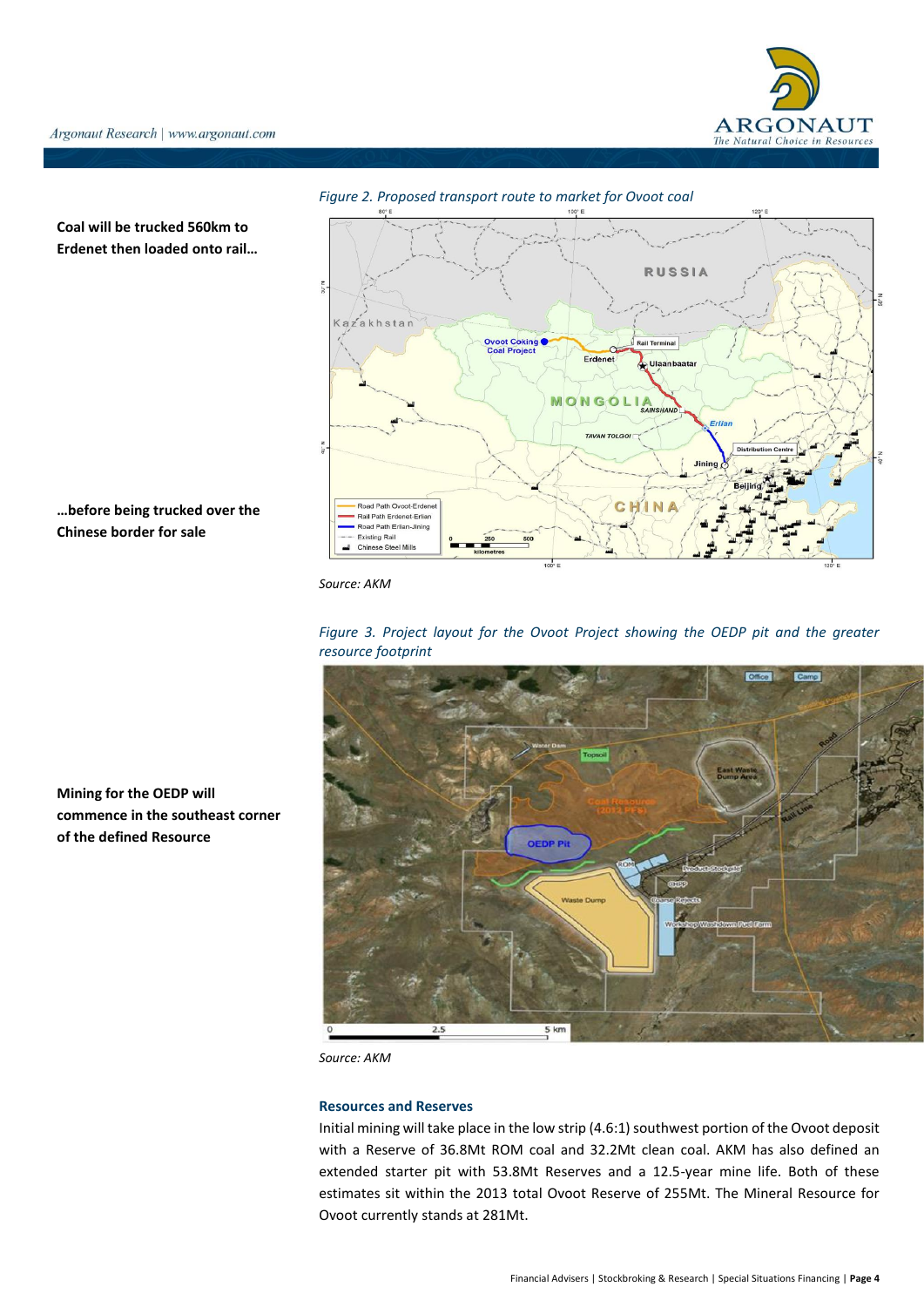



**Coal will be trucked 560km to Erdenet then loaded onto rail…**

## **…before being trucked over the Chinese border for sale**

*Source: AKM*





**Mining for the OEDP will commence in the southeast corner of the defined Resource**

*Source: AKM*

#### **Resources and Reserves**

Initial mining will take place in the low strip (4.6:1) southwest portion of the Ovoot deposit with a Reserve of 36.8Mt ROM coal and 32.2Mt clean coal. AKM has also defined an extended starter pit with 53.8Mt Reserves and a 12.5-year mine life. Both of these estimates sit within the 2013 total Ovoot Reserve of 255Mt. The Mineral Resource for Ovoot currently stands at 281Mt.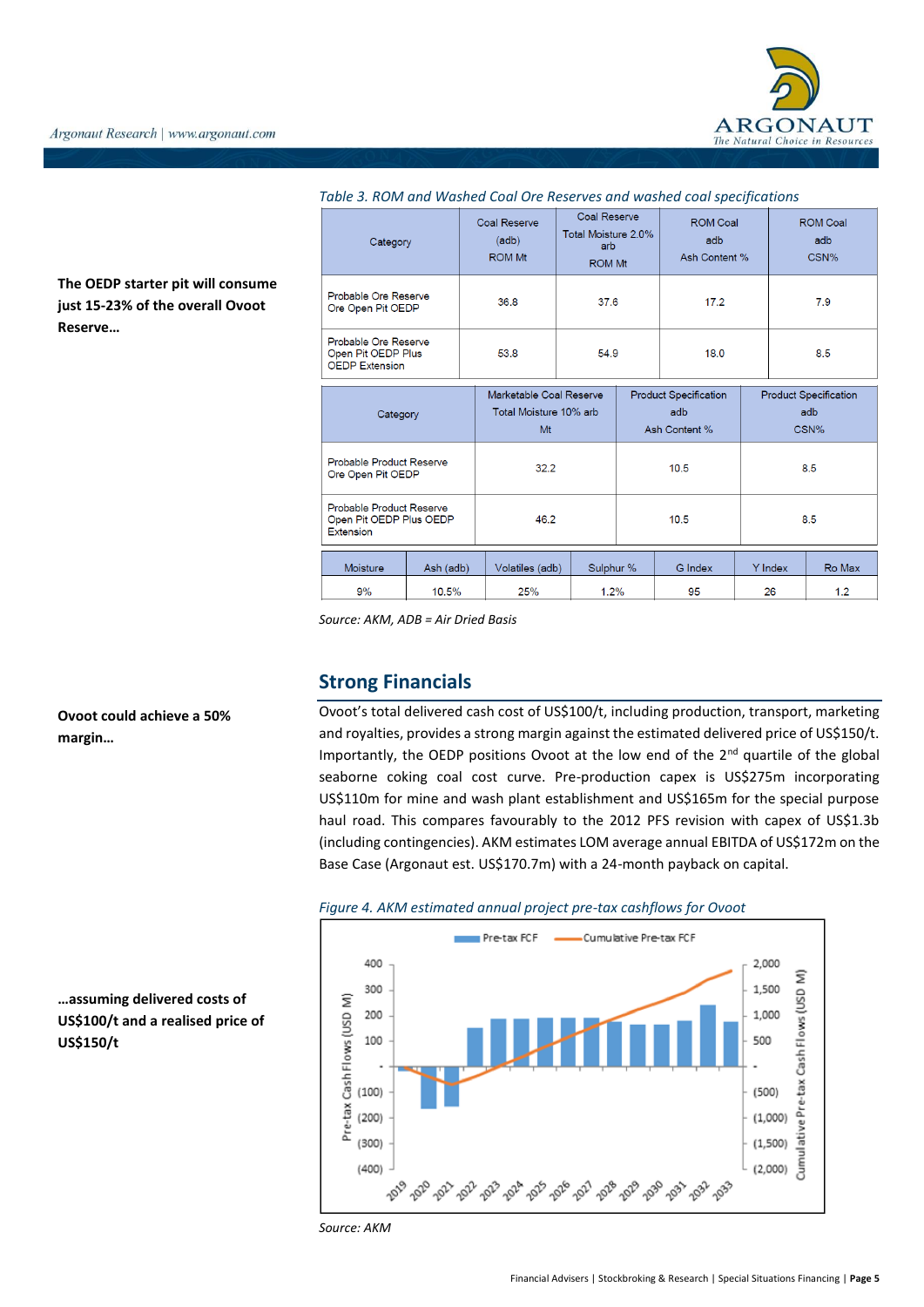

**The OEDP starter pit will consume just 15-23% of the overall Ovoot Reserve…**

| Category                                                            |           | Coal Reserve<br>(adb)<br><b>ROM Mt</b>                  | <b>Coal Reserve</b><br>Total Moisture 2.0%<br>arb<br><b>ROM Mt</b> |      | <b>ROM Coal</b><br>adb<br>Ash Content %              |                                             | ROM Coal<br>adb<br>CSN% |        |
|---------------------------------------------------------------------|-----------|---------------------------------------------------------|--------------------------------------------------------------------|------|------------------------------------------------------|---------------------------------------------|-------------------------|--------|
| Probable Ore Reserve<br>Ore Open Pit OEDP                           |           | 36.8                                                    | 37.6                                                               |      | 17.2                                                 |                                             |                         | 7.9    |
| Probable Ore Reserve<br>Open Pit OEDP Plus<br><b>OEDP Extension</b> |           | 53.8                                                    | 54.9                                                               |      | 18.0                                                 |                                             | 8.5                     |        |
| Category                                                            |           | Marketable Coal Reserve<br>Total Moisture 10% arb<br>Mt |                                                                    |      | <b>Product Specification</b><br>adb<br>Ash Content % | <b>Product Specification</b><br>adb<br>CSN% |                         |        |
| Probable Product Reserve<br>Ore Open Pit OEDP                       |           | 32.2                                                    |                                                                    |      | 10.5                                                 |                                             | 8.5                     |        |
| Probable Product Reserve<br>Open Pit OEDP Plus OEDP<br>Extension    |           | 46.2                                                    |                                                                    | 10.5 |                                                      |                                             | 8.5                     |        |
| <b>Moisture</b>                                                     | Ash (adb) | Volatiles (adb)                                         | Sulphur %                                                          |      | G Index                                              |                                             | Y Index                 | Ro Max |
| 9%                                                                  | 10.5%     | 25%                                                     | 1.2%                                                               |      | 95                                                   |                                             | 26                      | 1.2    |

## *Table 3. ROM and Washed Coal Ore Reserves and washed coal specifications*

*Source: AKM, ADB = Air Dried Basis*

## **Strong Financials**

Ovoot's total delivered cash cost of US\$100/t, including production, transport, marketing and royalties, provides a strong margin against the estimated delivered price of US\$150/t. Importantly, the OEDP positions Ovoot at the low end of the 2<sup>nd</sup> quartile of the global seaborne coking coal cost curve. Pre-production capex is US\$275m incorporating US\$110m for mine and wash plant establishment and US\$165m for the special purpose haul road. This compares favourably to the 2012 PFS revision with capex of US\$1.3b (including contingencies). AKM estimates LOM average annual EBITDA of US\$172m on the Base Case (Argonaut est. US\$170.7m) with a 24-month payback on capital.





*Source: AKM*

**…assuming delivered costs of US\$100/t and a realised price of US\$150/t** 

**Ovoot could achieve a 50%** 

**margin…**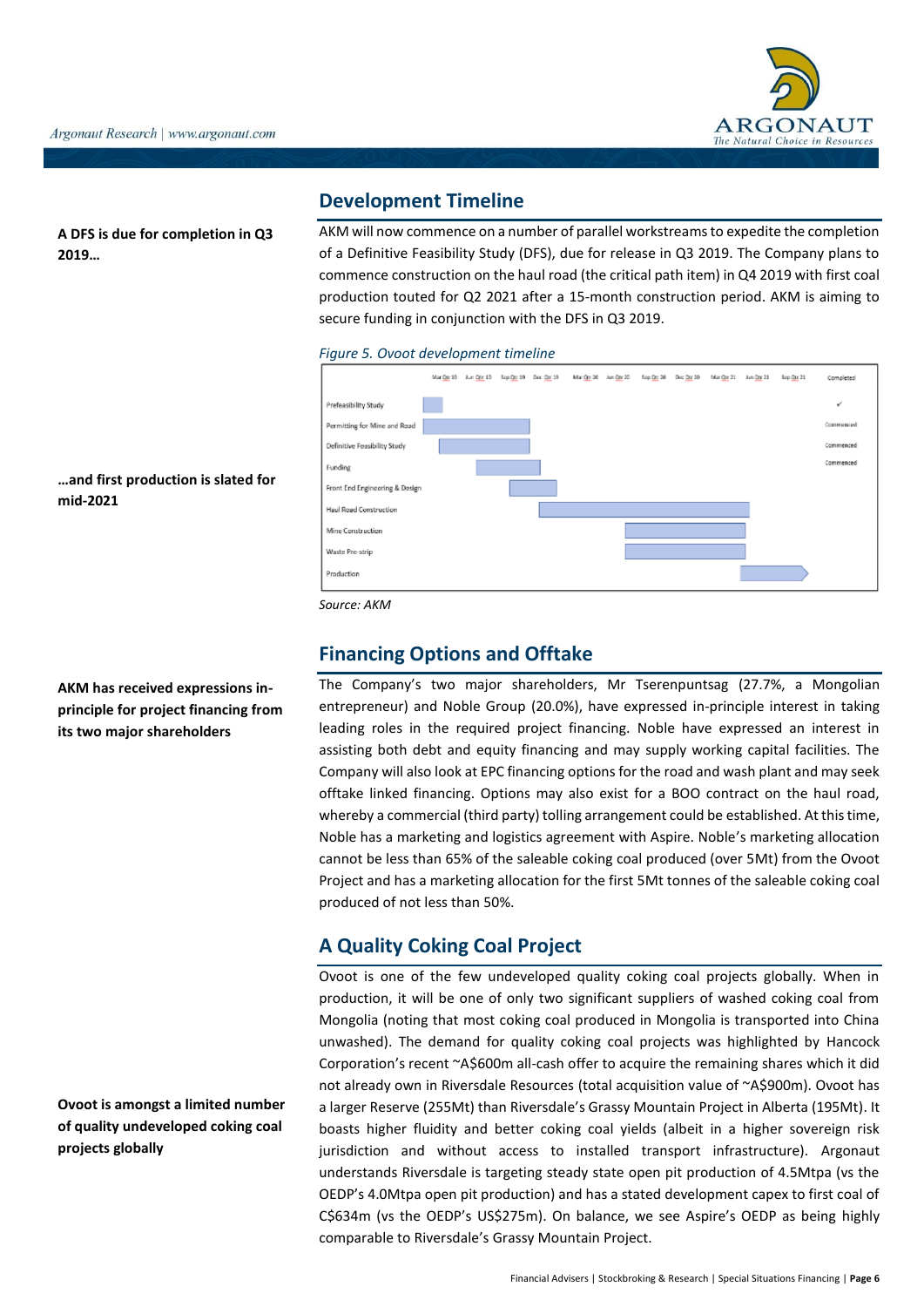**A DFS is due for completion in Q3 2019…**

## **Development Timeline**

AKM will now commence on a number of parallel workstreams to expedite the completion of a Definitive Feasibility Study (DFS), due for release in Q3 2019. The Company plans to commence construction on the haul road (the critical path item) in Q4 2019 with first coal production touted for Q2 2021 after a 15-month construction period. AKM is aiming to secure funding in conjunction with the DFS in Q3 2019.

*Figure 5. Ovoot development timeline*



*Source: AKM*

# **Financing Options and Offtake**

The Company's two major shareholders, Mr Tserenpuntsag (27.7%, a Mongolian entrepreneur) and Noble Group (20.0%), have expressed in-principle interest in taking leading roles in the required project financing. Noble have expressed an interest in assisting both debt and equity financing and may supply working capital facilities. The Company will also look at EPC financing options for the road and wash plant and may seek offtake linked financing. Options may also exist for a BOO contract on the haul road, whereby a commercial (third party) tolling arrangement could be established. At this time, Noble has a marketing and logistics agreement with Aspire. Noble's marketing allocation cannot be less than 65% of the saleable coking coal produced (over 5Mt) from the Ovoot Project and has a marketing allocation for the first 5Mt tonnes of the saleable coking coal produced of not less than 50%.

# **A Quality Coking Coal Project**

Ovoot is one of the few undeveloped quality coking coal projects globally. When in production, it will be one of only two significant suppliers of washed coking coal from Mongolia (noting that most coking coal produced in Mongolia is transported into China unwashed). The demand for quality coking coal projects was highlighted by Hancock Corporation's recent ~A\$600m all-cash offer to acquire the remaining shares which it did not already own in Riversdale Resources (total acquisition value of ~A\$900m). Ovoot has a larger Reserve (255Mt) than Riversdale's Grassy Mountain Project in Alberta (195Mt). It boasts higher fluidity and better coking coal yields (albeit in a higher sovereign risk jurisdiction and without access to installed transport infrastructure). Argonaut understands Riversdale is targeting steady state open pit production of 4.5Mtpa (vs the OEDP's 4.0Mtpa open pit production) and has a stated development capex to first coal of C\$634m (vs the OEDP's US\$275m). On balance, we see Aspire's OEDP as being highly comparable to Riversdale's Grassy Mountain Project.

**AKM has received expressions inprinciple for project financing from** 

**its two major shareholders**

**…and first production is slated for** 

**mid-2021**

**Ovoot is amongst a limited number of quality undeveloped coking coal projects globally**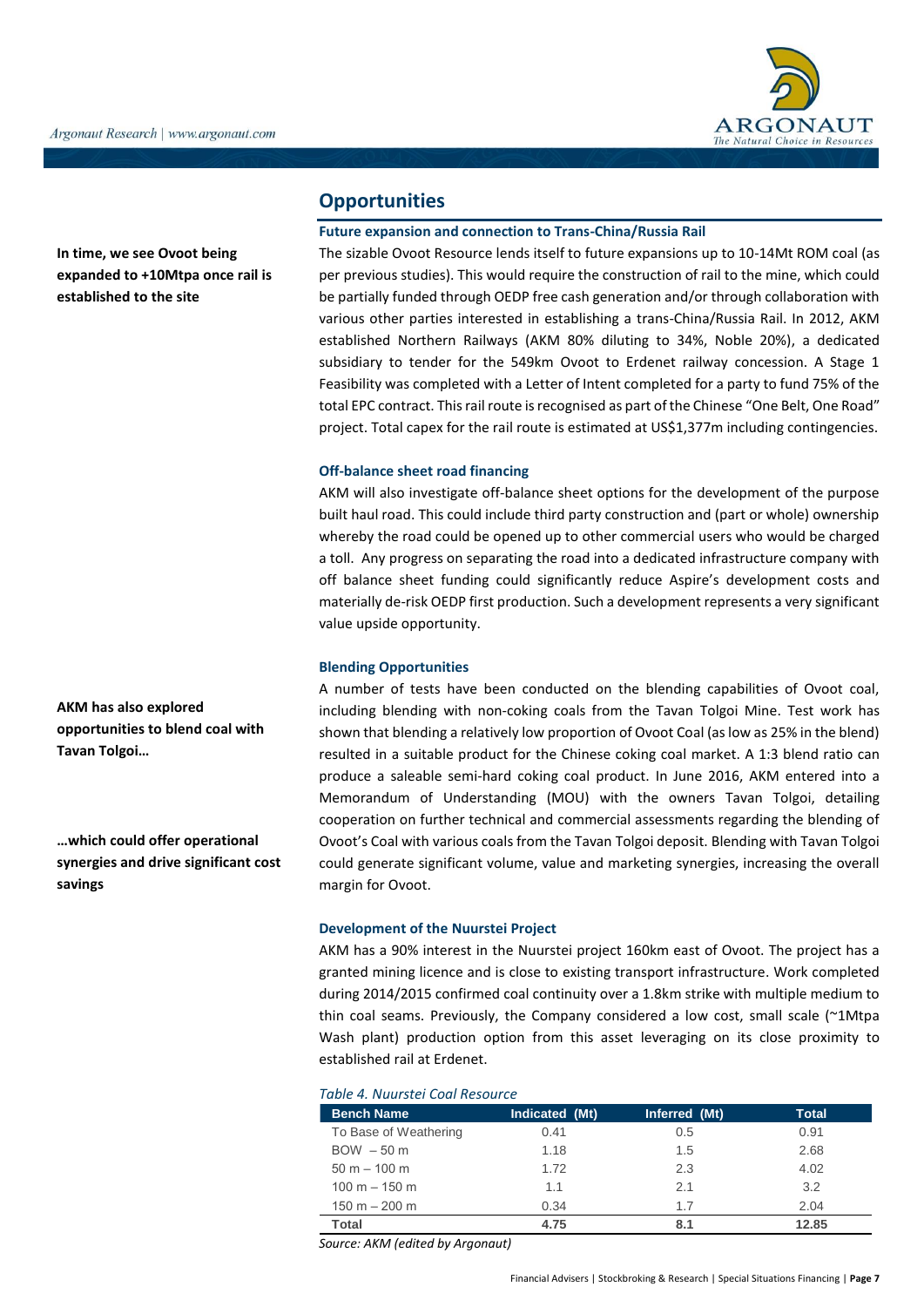

**In time, we see Ovoot being expanded to +10Mtpa once rail is established to the site**

# **Opportunities**

## **Future expansion and connection to Trans-China/Russia Rail**

The sizable Ovoot Resource lends itself to future expansions up to 10-14Mt ROM coal (as per previous studies). This would require the construction of rail to the mine, which could be partially funded through OEDP free cash generation and/or through collaboration with various other parties interested in establishing a trans-China/Russia Rail. In 2012, AKM established Northern Railways (AKM 80% diluting to 34%, Noble 20%), a dedicated subsidiary to tender for the 549km Ovoot to Erdenet railway concession. A Stage 1 Feasibility was completed with a Letter of Intent completed for a party to fund 75% of the total EPC contract. This rail route is recognised as part of the Chinese "One Belt, One Road" project. Total capex for the rail route is estimated at US\$1,377m including contingencies.

## **Off-balance sheet road financing**

AKM will also investigate off-balance sheet options for the development of the purpose built haul road. This could include third party construction and (part or whole) ownership whereby the road could be opened up to other commercial users who would be charged a toll. Any progress on separating the road into a dedicated infrastructure company with off balance sheet funding could significantly reduce Aspire's development costs and materially de-risk OEDP first production. Such a development represents a very significant value upside opportunity.

## **Blending Opportunities**

A number of tests have been conducted on the blending capabilities of Ovoot coal, including blending with non-coking coals from the Tavan Tolgoi Mine. Test work has shown that blending a relatively low proportion of Ovoot Coal (as low as 25% in the blend) resulted in a suitable product for the Chinese coking coal market. A 1:3 blend ratio can produce a saleable semi-hard coking coal product. In June 2016, AKM entered into a Memorandum of Understanding (MOU) with the owners Tavan Tolgoi, detailing cooperation on further technical and commercial assessments regarding the blending of Ovoot's Coal with various coals from the Tavan Tolgoi deposit. Blending with Tavan Tolgoi could generate significant volume, value and marketing synergies, increasing the overall margin for Ovoot.

#### **Development of the Nuurstei Project**

AKM has a 90% interest in the Nuurstei project 160km east of Ovoot. The project has a granted mining licence and is close to existing transport infrastructure. Work completed during 2014/2015 confirmed coal continuity over a 1.8km strike with multiple medium to thin coal seams. Previously, the Company considered a low cost, small scale (~1Mtpa Wash plant) production option from this asset leveraging on its close proximity to established rail at Erdenet.

#### *Table 4. Nuurstei Coal Resource*

| <b>Bench Name</b>     | Indicated (Mt) | Inferred (Mt) | <b>Total</b> |
|-----------------------|----------------|---------------|--------------|
| To Base of Weathering | 0.41           | 0.5           | 0.91         |
| $BOW - 50 m$          | 1.18           | 1.5           | 2.68         |
| $50 m - 100 m$        | 1.72           | 2.3           | 4.02         |
| $100 m - 150 m$       | 1.1            | 2.1           | 3.2          |
| $150 m - 200 m$       | 0.34           | 1.7           | 2.04         |
| Total                 | 4.75           | 8.1           | 12.85        |

*Source: AKM (edited by Argonaut)*

**AKM has also explored opportunities to blend coal with Tavan Tolgoi…**

**…which could offer operational synergies and drive significant cost savings**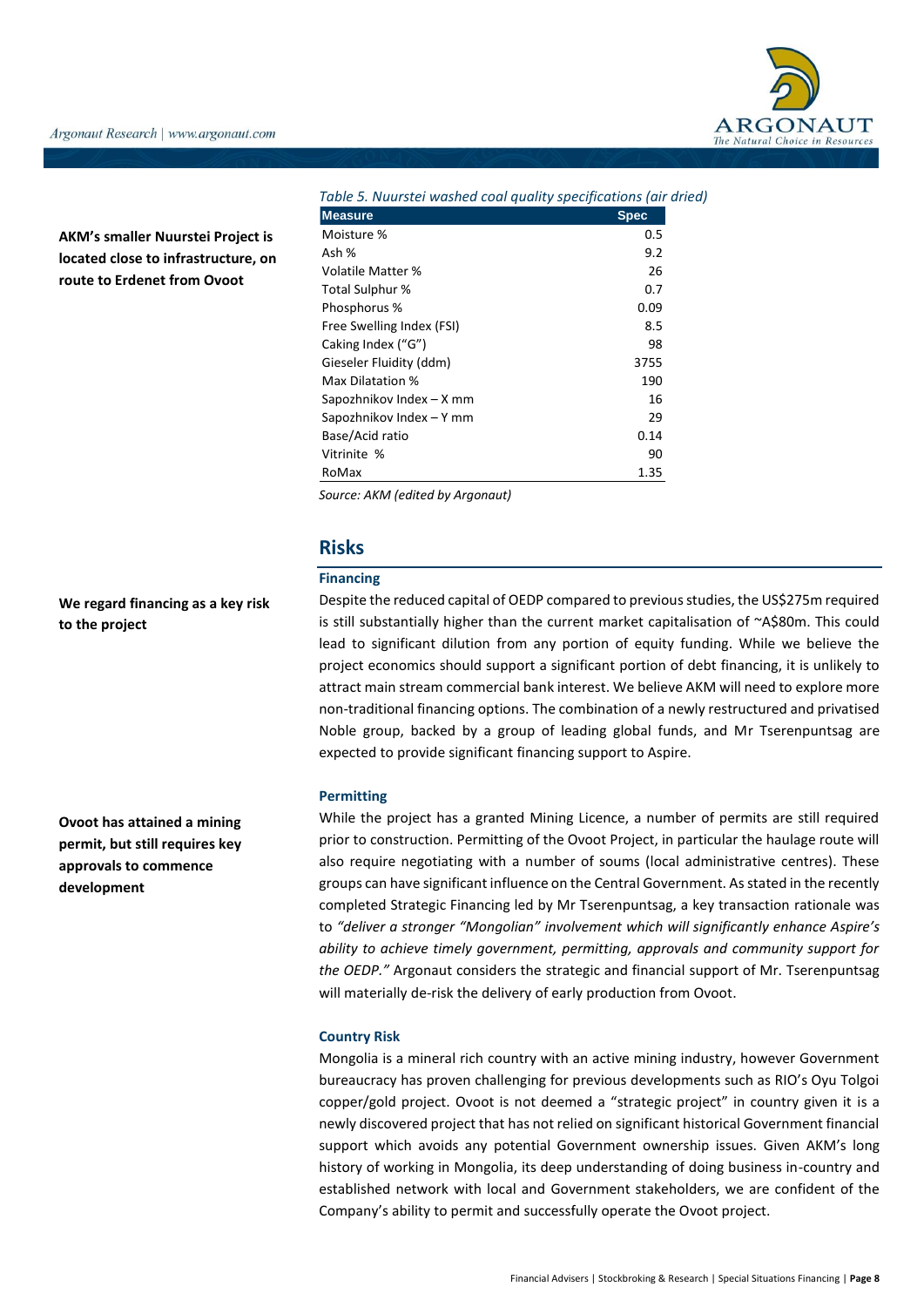

**AKM's smaller Nuurstei Project is located close to infrastructure, on route to Erdenet from Ovoot**

| Table 5. Nuurstei washed coal quality specifications (air dried) |             |
|------------------------------------------------------------------|-------------|
| <b>Measure</b>                                                   | <b>Spec</b> |
| Moisture %                                                       | 0.5         |
| Ash %                                                            | 9.2         |
| Volatile Matter %                                                | 26          |
| Total Sulphur %                                                  | 0.7         |
| Phosphorus %                                                     | 0.09        |
| Free Swelling Index (FSI)                                        | 8.5         |
| Caking Index ("G")                                               | 98          |
| Gieseler Fluidity (ddm)                                          | 3755        |
| Max Dilatation %                                                 | 190         |
| Sapozhnikov Index – X mm                                         | 16          |
| Sapozhnikov Index – Y mm                                         | 29          |
| Base/Acid ratio                                                  | 0.14        |
| Vitrinite %                                                      | 90          |
| RoMax                                                            | 1.35        |

*Source: AKM (edited by Argonaut)*

## **Risks**

## **Financing**

**We regard financing as a key risk to the project** 

**Ovoot has attained a mining permit, but still requires key approvals to commence development**

Despite the reduced capital of OEDP compared to previous studies, the US\$275m required is still substantially higher than the current market capitalisation of ~A\$80m. This could lead to significant dilution from any portion of equity funding. While we believe the project economics should support a significant portion of debt financing, it is unlikely to attract main stream commercial bank interest. We believe AKM will need to explore more non-traditional financing options. The combination of a newly restructured and privatised Noble group, backed by a group of leading global funds, and Mr Tserenpuntsag are expected to provide significant financing support to Aspire.

#### **Permitting**

While the project has a granted Mining Licence, a number of permits are still required prior to construction. Permitting of the Ovoot Project, in particular the haulage route will also require negotiating with a number of soums (local administrative centres). These groups can have significant influence on the Central Government. As stated in the recently completed Strategic Financing led by Mr Tserenpuntsag, a key transaction rationale was to *"deliver a stronger "Mongolian" involvement which will significantly enhance Aspire's ability to achieve timely government, permitting, approvals and community support for the OEDP."* Argonaut considers the strategic and financial support of Mr. Tserenpuntsag will materially de-risk the delivery of early production from Ovoot.

#### **Country Risk**

Mongolia is a mineral rich country with an active mining industry, however Government bureaucracy has proven challenging for previous developments such as RIO's Oyu Tolgoi copper/gold project. Ovoot is not deemed a "strategic project" in country given it is a newly discovered project that has not relied on significant historical Government financial support which avoids any potential Government ownership issues. Given AKM's long history of working in Mongolia, its deep understanding of doing business in-country and established network with local and Government stakeholders, we are confident of the Company's ability to permit and successfully operate the Ovoot project.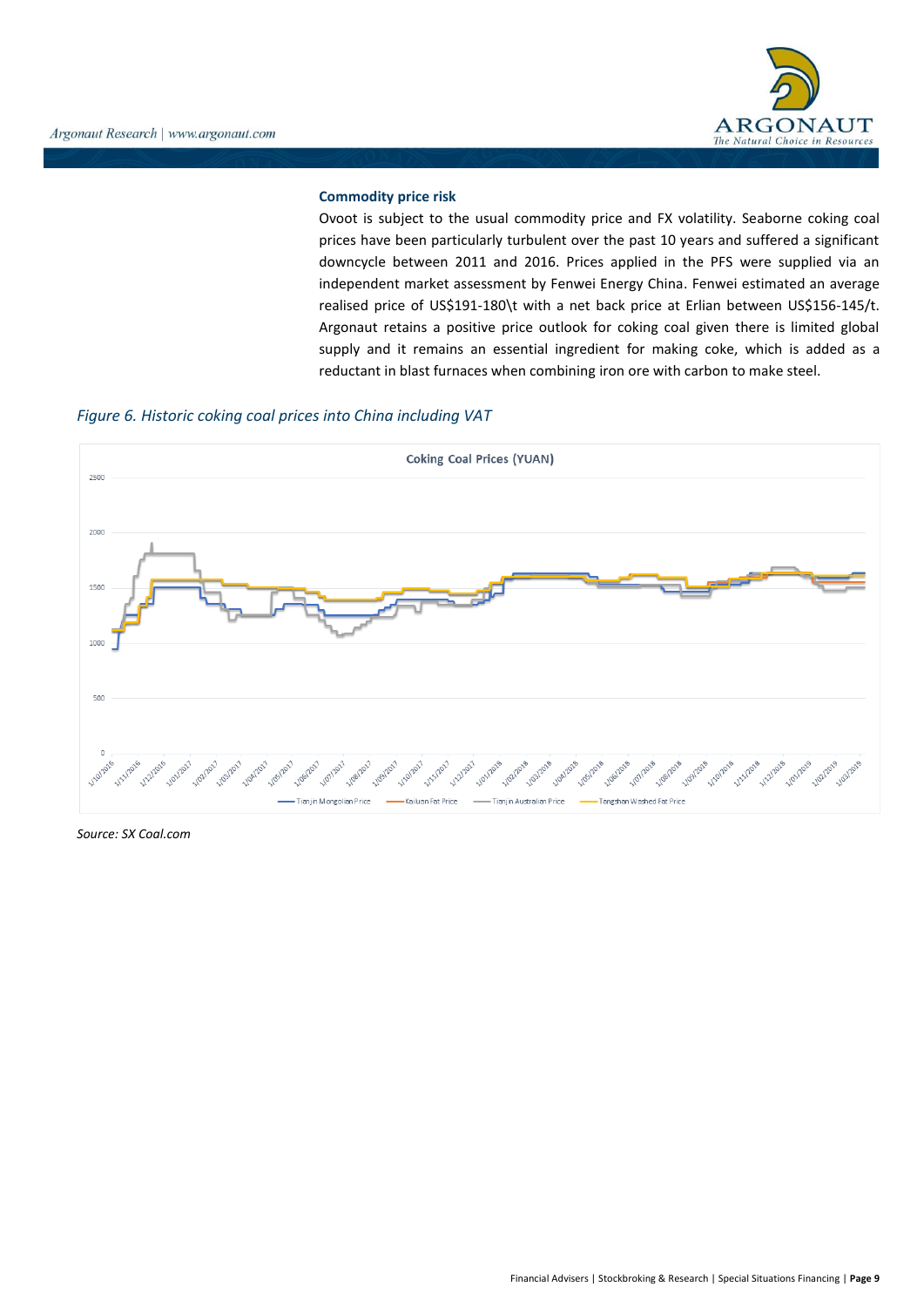

## **Commodity price risk**

Ovoot is subject to the usual commodity price and FX volatility. Seaborne coking coal prices have been particularly turbulent over the past 10 years and suffered a significant downcycle between 2011 and 2016. Prices applied in the PFS were supplied via an independent market assessment by Fenwei Energy China. Fenwei estimated an average realised price of US\$191-180\t with a net back price at Erlian between US\$156-145/t. Argonaut retains a positive price outlook for coking coal given there is limited global supply and it remains an essential ingredient for making coke, which is added as a reductant in blast furnaces when combining iron ore with carbon to make steel.

## *Figure 6. Historic coking coal prices into China including VAT*



*Source: SX Coal.com*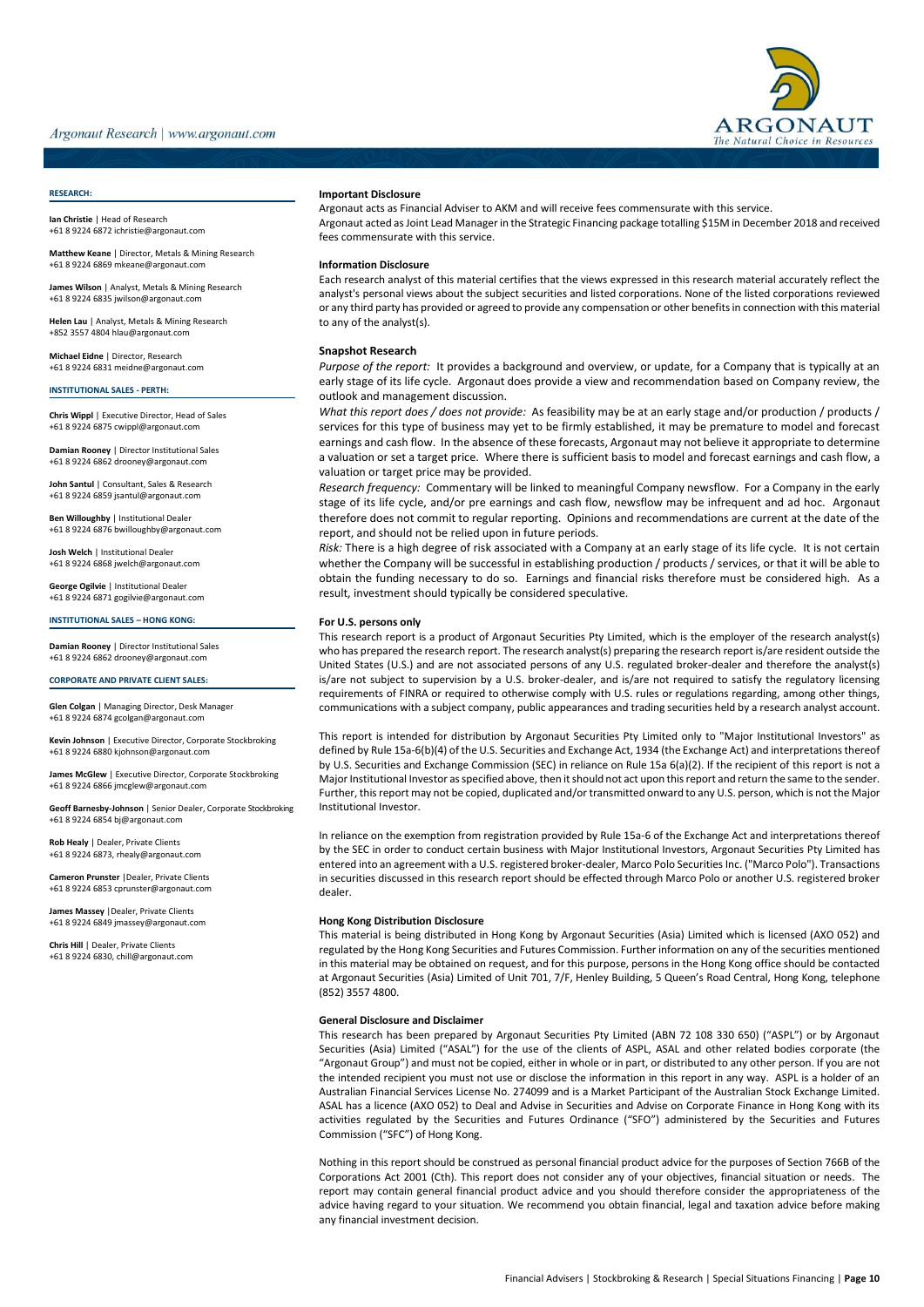

#### **RESEARCH:**

**Ian Christie** | Head of Research +61 8 9224 6872 ichristie@argonaut.com

**Matthew Keane** | Director, Metals & Mining Research +61 8 9224 6869 [mkeane@argonaut.com](mailto:mkeane@argonaut.com)

**James Wilson** | Analyst, Metals & Mining Research +61 8 9224 683[5 jwilson@argonaut.com](mailto:jwilson@argonaut.com)

**Helen Lau** | Analyst, Metals & Mining Research +852 3557 480[4 hlau@argonaut.com](mailto:hlau@argonaut.com)

**Michael Eidne** | Director, Research +61 8 9224 6831 meidne@argonaut.com

**INSTITUTIONAL SALES - PERTH:**

**Chris Wippl** | Executive Director, Head of Sales +61 8 9224 6875 cwippl@argonaut.com

**Damian Rooney** | Director Institutional Sales +61 8 9224 6862 [drooney@argonaut.com](mailto:drooney@argonaut.com)

**John Santul** | Consultant, Sales & Research +61 8 9224 6859 [jsantul@argonaut.com](mailto:jsantul@argonaut.com)

**Ben Willoughby** | Institutional Dealer +61 8 9224 6876 bwilloughby@argonaut.com

**Josh Welch** | Institutional Dealer +61 8 9224 686[8 jwelch@argonaut.com](mailto:jwelch@argonaut.com)

**George Ogilvie** | Institutional Dealer +61 8 9224 687[1 gogilvie@argonaut.com](mailto:gogilvie@argonaut.com)

#### **INSTITUTIONAL SALES – HONG KONG:**

**Damian Rooney** | Director Institutional Sales +61 8 9224 6862 [drooney@argonaut.com](mailto:drooney@argonaut.com)

**CORPORATE AND PRIVATE CLIENT SALES:**

**Glen Colgan** | Managing Director, Desk Manager +61 8 9224 6874 gcolgan@argonaut.com

**Kevin Johnson** | Executive Director, Corporate Stockbroking +61 8 9224 6880 kjohnson@argonaut.com

**James McGlew** | Executive Director, Corporate Stockbroking +61 8 9224 6866 [jmcglew@argonaut.com](mailto:jmcglew@argonaut.com)

**Geoff Barnesby-Johnson** | Senior Dealer, Corporate Stockbroking +61 8 9224 6854 bj@argonaut.com

**Rob Healy** | Dealer, Private Clients +61 8 9224 6873[, rhealy@argonaut.com](mailto:rhealy@argonaut.com)

**Cameron Prunster** |Dealer, Private Clients +61 8 9224 6853 cprunster@argonaut.com

**James Massey** |Dealer, Private Clients +61 8 9224 6849 [jmassey@argonaut.com](mailto:jmassey@argonaut.com)

**Chris Hill** | Dealer, Private Clients +61 8 9224 6830, chill@argonaut.com

#### **Important Disclosure**

Argonaut acts as Financial Adviser to AKM and will receive fees commensurate with this service. Argonaut acted as Joint Lead Manager in the Strategic Financing package totalling \$15M in December 2018 and received fees commensurate with this service.

#### **Information Disclosure**

Each research analyst of this material certifies that the views expressed in this research material accurately reflect the analyst's personal views about the subject securities and listed corporations. None of the listed corporations reviewed or any third party has provided or agreed to provide any compensation or other benefits in connection with this material to any of the analyst(s).

#### **Snapshot Research**

*Purpose of the report:* It provides a background and overview, or update, for a Company that is typically at an early stage of its life cycle. Argonaut does provide a view and recommendation based on Company review, the outlook and management discussion.

*What this report does / does not provide:* As feasibility may be at an early stage and/or production / products / services for this type of business may yet to be firmly established, it may be premature to model and forecast earnings and cash flow. In the absence of these forecasts, Argonaut may not believe it appropriate to determine a valuation or set a target price. Where there is sufficient basis to model and forecast earnings and cash flow, a valuation or target price may be provided.

*Research frequency:* Commentary will be linked to meaningful Company newsflow. For a Company in the early stage of its life cycle, and/or pre earnings and cash flow, newsflow may be infrequent and ad hoc. Argonaut therefore does not commit to regular reporting. Opinions and recommendations are current at the date of the report, and should not be relied upon in future periods.

*Risk:* There is a high degree of risk associated with a Company at an early stage of its life cycle. It is not certain whether the Company will be successful in establishing production / products / services, or that it will be able to obtain the funding necessary to do so. Earnings and financial risks therefore must be considered high. As a result, investment should typically be considered speculative.

#### **For U.S. persons only**

This research report is a product of Argonaut Securities Pty Limited, which is the employer of the research analyst(s) who has prepared the research report. The research analyst(s) preparing the research report is/are resident outside the United States (U.S.) and are not associated persons of any U.S. regulated broker-dealer and therefore the analyst(s) is/are not subject to supervision by a U.S. broker-dealer, and is/are not required to satisfy the regulatory licensing requirements of FINRA or required to otherwise comply with U.S. rules or regulations regarding, among other things, communications with a subject company, public appearances and trading securities held by a research analyst account.

This report is intended for distribution by Argonaut Securities Pty Limited only to "Major Institutional Investors" as defined by Rule 15a-6(b)(4) of the U.S. Securities and Exchange Act, 1934 (the Exchange Act) and interpretations thereof by U.S. Securities and Exchange Commission (SEC) in reliance on Rule 15a 6(a)(2). If the recipient of this report is not a Major Institutional Investor as specified above, then it should not act upon this report and return the same to the sender. Further, this report may not be copied, duplicated and/or transmitted onward to any U.S. person, which is not the Major Institutional Investor.

In reliance on the exemption from registration provided by Rule 15a-6 of the Exchange Act and interpretations thereof by the SEC in order to conduct certain business with Major Institutional Investors, Argonaut Securities Pty Limited has entered into an agreement with a U.S. registered broker-dealer, Marco Polo Securities Inc. ("Marco Polo"). Transactions in securities discussed in this research report should be effected through Marco Polo or another U.S. registered broker dealer.

#### **Hong Kong Distribution Disclosure**

This material is being distributed in Hong Kong by Argonaut Securities (Asia) Limited which is licensed (AXO 052) and regulated by the Hong Kong Securities and Futures Commission. Further information on any of the securities mentioned in this material may be obtained on request, and for this purpose, persons in the Hong Kong office should be contacted at Argonaut Securities (Asia) Limited of Unit 701, 7/F, Henley Building, 5 Queen's Road Central, Hong Kong, telephone (852) 3557 4800.

#### **General Disclosure and Disclaimer**

This research has been prepared by Argonaut Securities Pty Limited (ABN 72 108 330 650) ("ASPL") or by Argonaut Securities (Asia) Limited ("ASAL") for the use of the clients of ASPL, ASAL and other related bodies corporate (the "Argonaut Group") and must not be copied, either in whole or in part, or distributed to any other person. If you are not the intended recipient you must not use or disclose the information in this report in any way. ASPL is a holder of an Australian Financial Services License No. 274099 and is a Market Participant of the Australian Stock Exchange Limited. ASAL has a licence (AXO 052) to Deal and Advise in Securities and Advise on Corporate Finance in Hong Kong with its activities regulated by the Securities and Futures Ordinance ("SFO") administered by the Securities and Futures Commission ("SFC") of Hong Kong.

Nothing in this report should be construed as personal financial product advice for the purposes of Section 766B of the Corporations Act 2001 (Cth). This report does not consider any of your objectives, financial situation or needs. The report may contain general financial product advice and you should therefore consider the appropriateness of the advice having regard to your situation. We recommend you obtain financial, legal and taxation advice before making any financial investment decision.